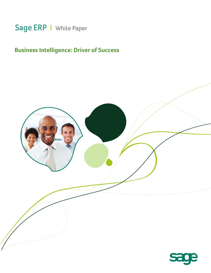# Sage ERP | White Paper

# **Business Intelligence: Driver of Success**

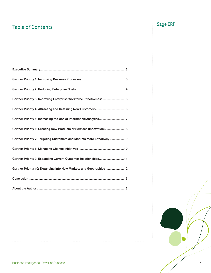# Table of Contents **Table of Contents**

| Gartner Priority 3: Improving Enterprise Workforce Effectiveness 5      |
|-------------------------------------------------------------------------|
|                                                                         |
| Gartner Priority 5: Increasing the Use of Information/Analytics7        |
| Gartner Priority 6: Creating New Products or Services (Innovation) 8    |
| Gartner Priority 7: Targeting Customers and Markets More Effectively  9 |
|                                                                         |
| Gartner Priority 9: Expanding Current Customer Relationships 11         |
| Gartner Priority 10: Expanding into New Markets and Geographies  12     |
|                                                                         |
|                                                                         |

U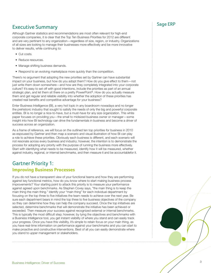## Executive Summary and the state of the Sage ERP state  $\sim$  Executive Summary

Although Gartner statistics and recommendations are most often relevant for high-end corporate companies, it is clear that the Top Ten Business Priorities for 2012 are different and are very pertinent to any organization—regardless of size, region, or industry. Organizations of all sizes are looking to manage their businesses more effectively and be more innovative to deliver results, while continuing to:

- Cut costs.
- Reduce resources.
- Manage shifting business demands.
- Respond to an evolving marketplace more quickly than the competition.

There's no argument that adopting the new priorities set by Gartner can have substantial impact on your business, but how do you adopt them? How do you give effect to them—not just write them down somewhere—and how are they completely integrated into your corporate culture? It's easy to set off with good intentions, include the priorities as part of an annual strategic plan, and let them sit there on a pretty PowerPoint®. How do you actually measure them and get regular and reliable visibility into whether the adoption of these priorities has created real benefits and competitive advantage for your business?

Enter Business Intelligence (BI), a very hot topic in any boardroom nowadays and no longer the prehistoric industry that sought to satisfy the needs of only the big and powerful corporate entities. BI is no longer a nice-to-have, but a must-have for any size organization. This white paper focuses on providing you—the small to midsized business owner or manager—some insight into how BI technology can drive the fundamentals in business and become a driver of success across an organization.

As a frame of reference, we will focus on the outlined ten top priorities for business in 2010 as espoused by Gartner and then map a scenario and visual illustration of how BI can play a role to achieve these priorities. Obviously each business is different, and each scenario will not resonate across every business and industry; however, the intention is to demonstrate the process for adopting any priority with the purpose of running the business more effectively. Start with identifying what needs to be measured, identify how it will be measured, whether against industry, regional, or internal benchmarks, and then measure it and be accountablefor it.

## Gartner Priority 1: **Improving Business Processes**

If you do not have a transparent view of your functional teams and how they are performing against key functional metrics, how do you know where to start making business process improvements? Your starting point to attack this priority is to measure your performance against agreed upon benchmarks. As Stephen Covey says, "the main thing is to keep the main thing the main thing." Identify your "main thing" for each individual department by focusing on the top three to five initiatives the team needs to achieve over the next year. Be sure each department bears in mind the top three to five business objectives of the company so they can determine how they can help the company succeed. Once the top initiatives are selected, determine benchmarks that will demonstrate the initiative has been achieved or exceeded. Then measure your success against recognized external or internal benchmarks. This is typically the most difficult step; however, by tying the objectives and benchmarks with a Business Intelligence tool, you get instant visibility of where you stand and can easily track your progress. Once you have this visibility, it's simple to retain focus on your main thing, as you have real-time information on performance against your benchmarks and you can start to make proactive and constructive interventions. Best of all you can easily demonstrate where you stand to upper management or stakeholders.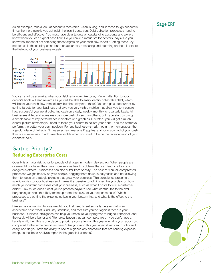As an example, take a look at accounts receivable. Cash is king, and in these tough economic  $\overline{\phantom{a}}$  Sage ERP times the more quickly you get paid, the less it costs you. Debt collection processes need to be efficient and effective. You must have clear targets on outstanding accounts and always know when you can expect cash flow. Do you have a metric set for debtors' days? Do you know the impact of not achieving these targets on your cash flow report? Setting these key metrics up is the starting point, but then accurately measuring and reporting on them is vital to the lifeblood of your business—cash.



You can start by analyzing what your debt ratio looks like today. Paying attention to your debtor's book will reap rewards as you will be able to easily identify collectable debt, which will boost your cash flow immediately, but then why stop there? You can go a step further by setting targets for your business that give you very visible metrics that allow you to measure how successful you are at collecting cash on a daily, weekly, monthly, or quarterly basis. All businesses differ, and some may be more cash driven than others, but if you start by using a simple table of key performance indicators or a graph as illustrated, you will get a much clearer picture of where you need to focus your efforts to collect your debt—and the better you perform, the better your cash position. For any business—small, medium, or humongous, the age-old adage of "what isn't measured isn't managed" applies, and losing control of your cash flow is a surefire way to add sleepless nights when you start to be on the receiving end of your creditors' calls.

### Gartner Priority 2: **Reducing Enterprise Costs**

Obesity is a major risk factor for people of all ages in modern day society. When people are overweight or obese, they have more serious health problems that can lead to all sorts of dangerous effects. Businesses can also suffer from obesity! The cost of manual, complicated processes weighs heavily on your people, bogging them down in daily tasks and not allowing them to focus on strategic projects that grow your business. This corpulence presents a significant risk to your business and makes it expensive to administer. Are you clear on how much your current processes cost your business, such as what it costs to fulfill a customer order? How much does it cost you to process payroll? And what contributes to the everburgeoning salaries that likely make up more than 60% of your expense base? Which processes are putting the expense spikes in your bottom line, and what is the effect to the business?

Like someone wanting to lose weight, you first need to set some targets—what is an acceptable cost, what is industry-standard, and measure yourself against those in your business. Business Intelligence can help you measure your progress throughout the year, and the result will be a leaner and fitter organization that can compete well. If you don't have a handle on it, then this is one place to prioritize your attention this year—what is your labor cost compared to the same period last year? Can you trend this year against last year quickly and easily, and do you have the ability to see at a glance any anomalies that are causing expense creep, as the Trend Analysis report in the graphic illustrates?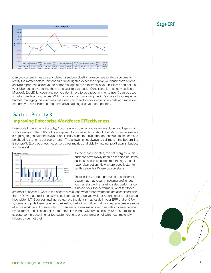### Sage ERP



Can you currently measure and detect a sudden bloating of expenses to allow you time to rectify the matter before unintended or unbudgeted expenses cripple your business? A trend analysis report can assist you to better manage all the expenses in your business and not just your labor costs by tracking them on a year-to-year basis. Conditional formatting (yes, it is a Microsoft Excel® function, and no, you don't have to be a programmer to use it) can be used smartly to red-flag any issues. With the workforce comprising the lion's share of your expense budget, managing this effectively will assist you to reduce your enterprise costs and moreover can give you a sustained competitive advantage against your competitors.

### Gartner Priority 3: **Improving Enterprise Workforce Effectiveness**

Everybody knows the philosophy, "If you always do what you've always done, you'll get what you've always gotten." It's not often applied to business, but it should be! Many businesses are struggling to generate the levels of profitability expected, even though the sales team seems to be shooting the lights out every month. The answer is not always to sell more—the bottom line is net profit. Every business needs very clear metrics and visibility into net profit against budget and forecast.



As the graph indicates, the net margins in this business have slowly been on the decline. If the business had this outlook months ago, it could have taken action. Now where does it start to set this straight? Where do you start?

There is likely to be a permutation of different issues that may result in sagging profits, but you can start with analyzing sales performance. Who are your top performers, what territories

are most successful, what is the cost of a sale, and what other overheads are associated with them? Do you get real-time daily sales information or do you wait for reports (that are delivered inconsistently)? Business Intelligence gathers the details that reside in your ERP and/or CRM systems and pulls them together to reveal powerful information that can help you create a more effective workforce. For example, you can easily review metrics such as sales by salesperson by customer and slice and dice it to determine trends. Quickly establish your most profitable salesperson, product line, or top customers, one or a combination of which can materially influence your net profit.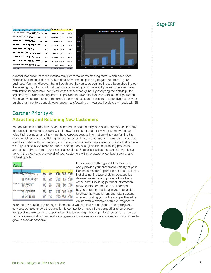### Sage ERP



A closer inspection of these metrics may just reveal some startling facts, which have been historically unnoticed due to lack of details that make up the aggregate numbers in your business. You may discover that although your key salesperson has indeed been shooting out the sales lights, it turns out that the costs of travelling and the lengthy sales cycle associated with individual sales have contrived losses rather than gains. By analyzing the details pulled together by Business Intelligence, it is possible to drive effectiveness across the organization. Since you've started, extend the exercise beyond sales and measure the effectiveness of your purchasing, inventory control, warehouse, manufacturing . . . you get the picture—literally with BI.

### Gartner Priority 4: **Attracting and Retaining New Customers**

You operate in a competitive space centered on price, quality, and customer service. In today's fast-paced marketplace people want it now, for the best price, they want to know that you value their business, and they must have quick access to information—they are fighting the clock, which seems to be ticking faster and faster. There are not many market segments that aren't saturated with competition, and if you don't currently have systems in place that provide visibility of details (available products, pricing, services, guarantees), tracking processes, and exact delivery dates—your competitor does. Business Intelligence can help you keep up with the clock and provide all of your customers with the lowest price, best service, and highest quality.

| <b>ItemGroup</b>     | (A)                                             |          |                 |                        |            |                         |
|----------------------|-------------------------------------------------|----------|-----------------|------------------------|------------|-------------------------|
| ProjectCode          | (A)                                             |          |                 |                        |            |                         |
| Serviceltem          | (All)                                           |          |                 |                        |            |                         |
| <b>WarehouseRame</b> | <b>CAT</b>                                      |          |                 |                        |            |                         |
|                      |                                                 |          |                 |                        |            |                         |
|                      |                                                 | Data     |                 |                        |            |                         |
|                      |                                                 |          |                 |                        |            | <b>Total</b>            |
|                      |                                                 |          | <b>UnitCost</b> | <b>Total Purchases</b> | Tax        | <b>Purchases</b>        |
|                      | SupplierNameCoddProductCodeName                 | Otv      | Excl            | <b>Tax Excl</b>        | Amount     | <b>Tax Incl</b>         |
|                      | Communications (Ptv) - Communications (Ptv)     | 600.00   | 445.91          | 252.192.98             | 35.307.02  | 287,500.00              |
|                      | COM - 001 - Internal Modem - Standard           | 150.00   | 283.16          | 39.473.68              | 5 526 32   | 45 000 00               |
|                      | COM - 002 - Internal Modem - ISDN               | 100.00   | 438.60          | 43.859.65              | 6.140.35   | 50,000.00               |
|                      | COM - 003 - External Modem - ISDN               | 100.00   | 526.32          | 52.631.58              | 7.368.42   | 60.000.00               |
|                      | COM - 004 - External Modem - Standard           | 100.00   | 350.88          | 35.087.72              | 4.912.28   | 40.000.00               |
|                      | COM - 005 - External Modem - ADSL               | 50.00    | 570.18          | 28 508 77              | 3 991 23   | 32,500.00               |
|                      | COM - 008 - Internal Modem - ADSL               | 100.00   | 526.32          | 52.631.58              | 7.368.42   | 60,000.00               |
|                      | Memory Supplies Inc. - Memory Supplies Inc.     | 400.00   | 219.30          | 87.719.30              | 12,280.70  | 100,000.00              |
|                      | MEM - 001 - 64 Med Chip                         | 100.00   | 87.72           | 8.771.93               | 1.228.07   | 10,000.00               |
|                      | MEM - 002 - 128 Med Chip                        | 100.00   | 175.44          | 17.543.86              | 2.456.14   | 20,000.00               |
|                      | MEM - 003 - 256 Meg Chip                        | 100.00   | 263.16          | 26.315.79              | 3.684.21   | 30.000.00               |
|                      | MEM - 004 - 512 Meg Chip                        | 100.00   | 350.88          | 35.087.72              | 491228     | 40,000.00               |
|                      | Monitor Suppliers (Ptv) Ltd - Monitor Suppliers | 605.00   | 2.246.59        | 1,397,807.02           |            | 195,692.98 1,593,500.00 |
|                      | MON - 001 - 15" Cathode Monitor                 | 100.00   | 701.75          | 70.175.44              | 9.824.56   | 80,000.00               |
|                      | MON - 002 - 17" Cathode Monitor                 | 103.00   | 833.33          | 90.087.72              | 12 612 28  | 102 700.00              |
|                      | MON - 003 - 21" Cathode Monitor                 | 100.00   | 1.754.39        | 175.438.60             | 24.561.40  | 200.000.00              |
|                      | MON - 004 - 15" Plasma Monitor                  | 100.00   | 1.754.39        | 175,438.60             | 24.561.40  | 200.000.00              |
|                      | MON - 005 - 17" Plasma Monitor                  | 100.00   | 3.508.77        | 350.877.19             | 49.122.81  | 400.000.00              |
|                      | MON - 006 - 21" Plasma Monitor                  | 102.00   | 5.000.00        | 535 789 47             | 75 010 53  | 610 800 00              |
| <b>Grand Total</b>   |                                                 | 1,605.00 | 1.251.15        | 1.737.719.30           | 243,280.70 | 1,981,000.00            |

For example, with a good BI tool you can easily provide your customers visibility of your Purchase Master Report like the one displayed. Not sharing this type of detail because it is deemed sensitive and privileged is a thing of the past. Providing pertinent information allows customers to make an informed buying decision, resulting in your being able to attract new customers and retain existing ones—providing you with a competitive edge. An innovative example of this is Progressive

Insurance: A couple of years ago it launched a website that not only details its pricing and services, but also shows the same for its competitors—even if the competitor price is lower. Progressive banks on its exceptional service to outweigh its competitors' lower costs. Take a look at its results at http://investors.progressive.com/releases.aspx and see how it continues to grow in a down economy.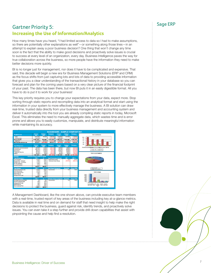## Sage ERP Gartner Priority 5: **Increasing the Use of Information/Analytics**

How many times have you heard, "I had limited access to data so I had to make assumptions, so there are potentially other explanations as well"—or something along those lines—in an attempt to explain away a poor business decision? One thing that won't change any time soon is the fact that the ability to make good decisions and proactively solve issues is crucial to success at every level of an organization, every day. Business Intelligence paves the way for true collaboration across the business, so more people have the information they need to make better decisions more quickly.

BI is no longer just for management, nor does it have to be complicated and expensive. That said, this decade will begin a new era for Business Management Solutions (ERP and CRM) as the focus shifts from just capturing lots and lots of data to providing accessible information that gives you a clear understanding of the transactional history in your database so you can forecast and plan for the coming years based on a very clear picture of the financial footprint of your past. The data has been there, but now BI puts it in an easily digestible format. All you have to do is put it to work for your business!

This key priority requires you to change your expectations from your data, expect more. Stop sorting through static reports and recompiling data into an analytical format and start using the information in your system to more effectively manage the business. A BI solution can draw real-time, trusted data directly from your business management and accounting system and deliver it automatically into the tool you are already compiling static reports in today, Microsoft Excel. This eliminates the need to manually aggregate data, which wastes time and is error prone and allows you to easily customize, manipulate, and distribute meaningful information while maintaining its accuracy.

|                                            |                      |                      |                              |                                 |                             | <b>DASHBOARD - SAMPLE COMPANY INC.</b> |  |  |  |  |  |
|--------------------------------------------|----------------------|----------------------|------------------------------|---------------------------------|-----------------------------|----------------------------------------|--|--|--|--|--|
| <b>Profit &amp; Loss</b>                   | <b>Actual</b><br>Mar | <b>Dudget</b><br>Mar | Variance                     | <b>Actual</b><br><b>YTO</b>     | <b>Budget</b><br><b>YID</b> | Variance                               |  |  |  |  |  |
| Sales                                      | 3073668              | 769 000              | 2 304 668                    | 8 688 568                       | 2 307 000                   | 6.381568                               |  |  |  |  |  |
| Cost of Sales                              | 1031403              |                      |                              | 2490164                         |                             | (2450.564)                             |  |  |  |  |  |
| <b>Gross Profit</b>                        | 2 842 265            | 763 800              | 1273265                      | 6 190 424                       | 2 307 600                   | 3883424                                |  |  |  |  |  |
| Expenses                                   | 1929 138             | 904 000              |                              | 6.256.299                       | 2712000                     | 635441                                 |  |  |  |  |  |
| Net Income before tax                      | 113 127              | (135 888             | 248 127                      | (65.875)                        | (405 000)                   | 339 125                                |  |  |  |  |  |
| 200                                        |                      |                      |                              |                                 |                             |                                        |  |  |  |  |  |
| <b>Top 5 Expenses</b>                      | Actual<br>Mar        | <b>Dudget</b><br>Mar | Variance                     | <b>Actual</b><br><b>YTD</b>     | <b>Dudget</b><br><b>YTD</b> | Variance                               |  |  |  |  |  |
| Promotion and entertainment                | 291070               | 33 000               | (258.070                     | 951463                          | 99 000                      | (152,469)                              |  |  |  |  |  |
| Commissions                                | 408 874              | 50 000               | (358.874)                    | 702 365                         | 150 000                     | (552.30)                               |  |  |  |  |  |
| Advertising                                | <b>104 173</b>       | 67 000               | (12.02)                      | 678847                          | 201000                      | (477.04)                               |  |  |  |  |  |
| Telephone teles far                        | <b>903790</b>        | 15 000               | (148.7%)                     | 713 190                         | 45,000                      | (668 190                               |  |  |  |  |  |
| <b>Utilities</b>                           | TH 053               | 5,000                | (109.453                     | 414, 415                        | 15,000                      | (209.41                                |  |  |  |  |  |
|                                            | 1162485              | 170 000              | (992-405)                    | 3 460 290                       |                             | 510 000 [2 950 290]                    |  |  |  |  |  |
| January 2020 to March 2020<br>Period:<br>m |                      |                      |                              |                                 |                             |                                        |  |  |  |  |  |
| <b>Too 5 Customers</b>                     | YTO                  | $\mathbf{r}$         | <b>Top 5 Customer Groups</b> |                                 | <b>CP</b>                   | <b>GP Y</b>                            |  |  |  |  |  |
| The Courtsard                              | 6.283                | 38.9%                | Fletal Sales Group           |                                 | 1071                        | 63.4%                                  |  |  |  |  |  |
| Bargain Mart - Oakland                     | 3.956                | 24.5%                | <b>Wholesale Sales Group</b> |                                 | (170.743)                   | (9042, 27)                             |  |  |  |  |  |
| Bargain Mart - San Diego                   | 3 0 3 5              | 10.0%                |                              |                                 |                             |                                        |  |  |  |  |  |
| Mr. Ronald Etank                           | 1690                 | 10.5hc               |                              |                                 |                             |                                        |  |  |  |  |  |
| Custom Comfort                             | 1103                 | 7.3%                 |                              |                                 |                             |                                        |  |  |  |  |  |
|                                            | <b>96 147</b>        | 100.0%               |                              |                                 |                             |                                        |  |  |  |  |  |
| <b>Too 5 Rems</b>                          | <b>YTO</b>           | ×                    | <b>Top 5 Item Categories</b> |                                 | <b>Quantity</b>             | <b>Price YTD</b>                       |  |  |  |  |  |
| Fluorescent Deck Lamp                      | 8879                 | 43.0%                | Accessories                  |                                 | 729                         | 10.031                                 |  |  |  |  |  |
| Deck Note Book                             | 4 970                | 27.5N                |                              |                                 |                             |                                        |  |  |  |  |  |
| Deck Calendar Pad                          | 2364                 | 13.8 <sub>6</sub>    |                              |                                 |                             |                                        |  |  |  |  |  |
| <b>Duterin Board</b>                       | 306                  | 5.4%                 |                              |                                 |                             |                                        |  |  |  |  |  |
| <b>Halogen Desk Light</b>                  | <b>SOC</b>           | Kónc                 |                              |                                 |                             |                                        |  |  |  |  |  |
|                                            | 18 105               | 100.0X               |                              |                                 |                             |                                        |  |  |  |  |  |
| <b>Bottom 5 Irems</b>                      | <b>YID</b>           | ×                    |                              | <b>Bottom 5 Item Categories</b> | Quantity                    | <b>Price YTD</b>                       |  |  |  |  |  |
| <b>13V Mini Fluorescent Bulb</b>           | 78                   | <b>16N</b>           | Accessores                   |                                 | 729                         | 10,031                                 |  |  |  |  |  |
| 50V/ICV Halogen Bub                        | 649                  | 13.0nc               |                              |                                 |                             |                                        |  |  |  |  |  |
| <b>Halogen Desk Light</b>                  | 906                  | 10.2%                |                              |                                 |                             |                                        |  |  |  |  |  |
| <b>Duletin Board</b>                       | 906                  | 19.8%                |                              |                                 |                             |                                        |  |  |  |  |  |
| Deck Calendar Pad                          | 2.364                | 47.5%                |                              |                                 |                             |                                        |  |  |  |  |  |
|                                            | 4583                 | 100.0X               |                              |                                 |                             |                                        |  |  |  |  |  |

A Management Dashboard, like the one shown above, can provide executive team members with a real-time, trusted report of key areas of the business including key at-a-glance metrics. Data is available in real time and on demand for staff that need insight to help make the right decisions to protect the business, guard against risk, identify trends, and proactively solve issues. You can even take it a step further and provide drill-down capabilities that assist with pinpointing the cause and help find a resolution.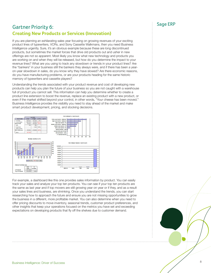## Sage ERP Gartner Priority 6: **Creating New Products or Services (Innovation)**

If you are planning an exhilarating sales year focusing on growing revenues of your exciting product lines of typewriters, VCRs, and Sony Cassette Walkmans, then you need Business Intelligence urgently. Sure, it's an obvious example because these are long discontinued products, but sometimes the market forces that drive old products out and usher in new offerings are not so apparent. Most likely you know what new technology and products you are working on and when they will be released, but how do you determine the impact to your revenue lines? What are you using to track any slowdown or trends in your product lines? Are the "bankers" in your business still the bankers they always were, and if there has been a yearon-year slowdown in sales, do you know why they have slowed? Are there economic reasons, do you have manufacturing problems, or are your products heading for the same historic memory of typewriters and cassette players?

Understanding the trends associated with your product revenue and cost of developing new products can help you plan the future of your business so you are not caught with a warehouse full of product you cannot sell. This information can help you determine whether to create a product line extension to boost the revenue, replace an existing product with a new product, or even if the market shifted beyond your control, in other words, "Your cheese has been moved." Business Intelligence provides the visibility you need to stay ahead of the market and make smart product development, pricing, and stocking decisions.



For example, a dashboard like this one provides sales information by product. You can easily track your sales and analyze your top ten products. You can see if your top ten products are the same as last year and if top movers are still growing year on year or if they, and as a result your sales lines and business, are shrinking. Once you understand the trends, you can start researching how to approach the future and ensure you are not missing opportunities to grow the business in a different, more profitable market. You can also determine when you need to offer pricing discounts to move inventory, seasonal trends, customer product preferences, and other insights that keep your operations focused on the metrics you have set and exceeding expectations on developing products that fly off the shelves due to customer demand.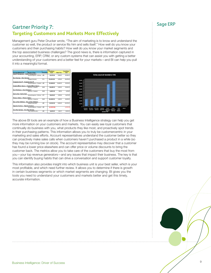## Sage ERP Gartner Priority 7: **Targeting Customers and Markets More Effectively**

Management guru Peter Drucker wrote, "The aim of marketing is to know and understand the customer so well, the product or service fits him and sells itself." How well do you know your customers and their purchasing habits? How well do you know your market segments and the top associated business challenges? The good news is, there is information captured in your accounting, ERP, CRM, or any custom systems that can assist you with getting a better understanding of your customers and a better feel for your markets—and BI can help you pull it into a meaningful format.



The above BI tools are an example of how a Business Intelligence strategy can help you get more information on your customers and markets. You can easily see loyal customers that continually do business with you, what products they like most, and proactively spot trends in their purchasing patterns. This information allows you to truly be customercentric in your marketing and sales efforts. Account representatives understand the customer better so they can proactively make sales calls when customers haven't purchased a product in a while (so they may be running low on stock). The account representative may discover that a customer has found a lower price elsewhere and can offer price or volume discounts to bring the customer back. The metrics allow you to take care of the customers that buy the most from you—your top revenue generators—and any issues that impact their business. The key is that you can identify buying habits that can drive a conversation and support customer loyalty.

This information also provides insight into which business unit is your best seller, which is your most profitable, and which need further review. It allows you to determine if there is growth in certain business segments or which market segments are changing. BI gives you the tools you need to understand your customers and markets better and get this timely, accurate information.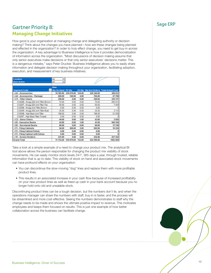## Sage ERP Gartner Priority 8: **Managing Change Initiatives**

How good is your organization at managing change and delegating authority or decision making? Think about the changes you have planned—how are these changes being planned and effected in the organization? In order to truly effect change, you need to get buy-in across the organization. A key advantage to Business Intelligence is how it provides democratization of information across the organization. "Most discussions of decision making assume that only senior executives make decisions or that only senior executives' decisions matter. This is a dangerous mistake," says Peter Drucker. Business Intelligence allows you to easily share information and delegate decision making throughout your organization, facilitating adoption, execution, and measurement of key business initiatives.

| Location                            | All<br>٠           |            |        |            |                                          |
|-------------------------------------|--------------------|------------|--------|------------|------------------------------------------|
| <b>Item Active</b>                  | AI<br>٠            |            |        |            |                                          |
|                                     |                    |            |        |            |                                          |
|                                     | Data               |            |        |            |                                          |
| <b>Segment Code</b>                 | Oty On Hand PO Oty |            |        |            | SO Qty Qty Incl Orders Total Actual Cost |
| <b>A1 - Accessories</b>             | 10 385.00          | 510 079.00 | 124.00 | 520 340.00 | 388 612                                  |
| RA2 - Accessories - Package         | 569.00             | 140.00     | 4.00   | 705.00     | 57 700                                   |
| <b>BC1 - Tilter Chairs</b>          | 358.00             | 0.00       | 0.00   | 358.00     | 325 117                                  |
| C1220B - Krugg 220 Arm Titler-Brown | 74.00              | 0.00       | 0.00   | 74.00      | 293 013                                  |
| C1220T - Krugg 220 Arm Titer-Tan    | 50.00              | 0.00       | 0.00   | 50.00      | 7450                                     |
| C1250B - Krugg Arm Titer-Brown      | 0.00               | 0.00       | 0.00   | 0.00       |                                          |
| C1250R - Krugg 250 Arm Titler-Rust  | 35.00              | 0.00       | 0.00   | 35.00      | 3115                                     |
| C1500B - High Back Arm Titer        | 199.00             | 0.00       | 0.00   | 199.00     | 21 539                                   |
| C1500T - High Back Titler-Tweed     | 0.00               | 0.00       | 0.00   | 0.00       |                                          |
| <b>EC2 - Steno Chairs</b>           | 44.00              | 0.00       | 1.00   | 43.00      | 2 6 5 5                                  |
| <b>BD1 - Executive Desks</b>        | 42.00              | 0.00       | 1.00   | 41.00      | 956 784                                  |
| <b>BD2 - Secretarial Desks</b>      | 60.00              | 0.00       | 0.00   | 60.00      | 13740                                    |
| <b>BF1 - Filing Cabinets</b>        | 54.00              | 450.00     | 2.00   | 502.00     | 10 224                                   |
| 8 F2 - Filing Cabinet Extras        | 0.00               | 6.00       | 0.00   | 6.00       |                                          |
| BF3 - Filing Cabinet with Extras    | 0.00               | 0.00       | 0.00   | 0.00       |                                          |
| 8 S1 - Screen Dividers              | 231.00             | 4.00       | 0.00   | 235.00     | 227 252                                  |
| <b>Grand Total</b>                  | 11 743.00          | 510 679.00 | 132.00 | 522 290.00 | 1982 084                                 |

Take a look at a simple example of a need to change your product mix. The analytical BI tool above allows the person responsible for changing the product mix visibility of stock movements. He can easily monitor stock levels 24/7, 365 days a year, through trusted, reliable information that is up to date. This visibility of stock on hand and associated stock movements can have profound effects on your organization:

- You can discontinue the slow-moving "dog" lines and replace them with more profitable product lines.
- This results in an associated increase in your cash flow because of increased profitability on your new product lines as well as freed up cash in your bank account because you no longer hold onto old and unsalable stock.

Discontinuing product lines can be a tough decision, but the numbers don't lie, and when the operations manager can share the numbers with staff, buy-in is faster, and the process will be streamlined and more cost-effective. Seeing the numbers demonstrates to staff why the change needs to be made and shows the ultimate positive impact to revenue. This motivates employees and keeps them focused on results. This is just one example of how better collaboration across the business can facilitate change.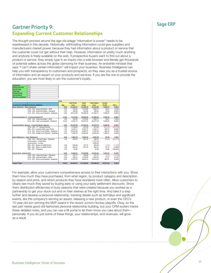## Sage ERP Gartner Priority 9: **Expanding Current Customer Relationships**

The thought process around the age-old adage "information is power" needs to be readdressed in this decade. Historically, withholding information could give suppliers and manufacturers market power, because they had information about a product or service that the customer could not get without their help. However, information on pretty much anything and anybody is freely available on the web. If prospective buyers want to find out about a product or service, they simply type in an inquiry into a web browser and literally get thousands of potential sellers across the globe clamoring for their business. An erstwhile mindset that says "I can't share certain information" will impact your business. Business Intelligence can help you with transparency to customers and prospects, so they view you as a trusted source of information and an expert on your products and services. If you are the one to provide the education, you are most likely to win the customer's loyalty.

| KepName                                    | (A,1)                                              |       |                   |            |                    |           |          |
|--------------------------------------------|----------------------------------------------------|-------|-------------------|------------|--------------------|-----------|----------|
| <b>DebtorsGroup</b>                        | (A)                                                |       |                   |            |                    |           |          |
| <b>ItemGroup</b>                           | (A)                                                |       |                   |            |                    |           |          |
| <b>JobCode</b>                             | (A)                                                |       |                   |            |                    |           |          |
| ProjectCode                                | (A)                                                |       |                   |            |                    |           |          |
| Serviceltem                                | (AI)                                               |       |                   |            |                    |           |          |
| WarehouseName                              | (A, I)                                             |       |                   |            |                    |           |          |
|                                            |                                                    |       |                   |            |                    |           |          |
|                                            |                                                    | Data  |                   |            |                    |           |          |
|                                            |                                                    |       | <b>Unit Price</b> | Total      | <b>Total Sales</b> | Gross     |          |
|                                            | CustomerCodeNar ProductCodeName                    | Oty   | Excl              | Cost       | Excl               | Profit    | GP%      |
| <b>Best Systems - Best Systems</b>         |                                                    | 8.00  | 11,536.27         | 21.228.12  | 23,222.84          | 1,994.72  | 8.59%    |
|                                            | COM - 003 - External Modem - ISDN                  | 3.00  | 536.26            | 1,578.96   | 1,608.77           | 29.81     | 1.85%    |
|                                            | COM - 004 - External Modem - Standard              | 1.00  | 385.96            | 350.88     | 385.96             | 35.08     | 9.09%    |
|                                            | SYS - 001 - Entry Level System - Notebook          | 4.00  | 10,614.06         | 19,298.28  | 21,228.11          | 1,929.83  | 9.09%    |
| <b>Communication IT - Communication IT</b> |                                                    | 13.00 | 9.123.98          | 79,649.26  | 87,486.05          | 7,836.79  | 8.96%    |
|                                            | COM - 003 - External Modem - ISDN                  | 3.00  | 536.26            | 1,578.96   | 1,608.77           | 29.81     | 1.85%    |
|                                            | SYS - 005 - High Level System - Notebook           | 10.00 | 8.587.73          | 78,070.30  | 85, 877.28         | 7,806.98  | 9.09%    |
|                                            | <b>Country Motor Spares - Country Motor Spares</b> | 5.00  | 25,270.48         | 23,330.14  | 25,374.72          | 2.044.58  | 8.06%    |
|                                            | MON - 002 - 17" Cathode Monitor                    | 1.00  | 2,788.00          | 873.98     | 67296              | (201.02)  | (29.87%) |
|                                            | PRN - 010 - Lexmark 800 Laser Printer              | 1.00  | 4.342.11          | 3.947.37   | 4,342.11           | 394.74    | 9.09%    |
|                                            | SYS - 001 - Entry Level System - Notebook          | 1.00  | 10,614.06         | 4,824.57   | 5,307.02           | 482.45    | 9.09%    |
|                                            | SYS - 004 - Middle Level System - Notebook         | 2.00  | 7,526.32          | 13,684.22  | 15,052.63          | 1,368.41  | 9.09%    |
| <b>East Stationers - East Stationers</b>   |                                                    | 4.00  | 1,905.39          | 1,842.10   | 4.205.39           | 63.29     | 1.50%    |
|                                            | COM - 001 - Internal Modem - Standard              | 1.00  | 202.63            | 263.16     | 202.63             | (60.53)   | (29.87%  |
|                                            | Noninventory - Credit Note                         |       |                   |            | (1,200.00)         |           |          |
|                                            | Nonlnventory - Invoice                             |       |                   |            | 3,500.00           |           |          |
|                                            | PRN - 001 - Epson LX 5000 Printer                  | 1.00  | 693.99            | 701.75     | 693.99             | (7.76)    | (1.12%   |
|                                            | PRN - 002 - Epson LX 8000 Printer                  | 1.00  | 964.91            | 877.19     | 964.91             | 87.72     | 9.09%    |
|                                            | TRN - 001 - Transport                              | 1.00  | 43.86             |            | 43.86              | 43.86     | 100.00%  |
| End to End - End to End                    |                                                    | 6.00  | 6,204.41          | 11,578.98  | 12,611.45          | 1,032.47  | 8.19%    |
|                                            | COM - 004 - External Modem - Standard              | 1.00  | 347.37            | 350.88     | 347.37             | (3.51)    | (1.01%   |
|                                            | COM - 006 - Internal Modem - ADSL                  | 3.00  | 550.01            | 1,578.96   | 1,650.03           | 71.07     | 4.31%    |
|                                            | SYS - 001 - Entry Level System - Notebook          | 2.00  | 5,307.03          | 9,649.14   | 10,614.05          | 964.91    | 9.09%    |
| <b>Grand Total</b>                         |                                                    | 36.00 | <b>53 040 53</b>  | 137 628 60 | 152,900.45         | 12.971.85 | 2,48%    |

For example, allow your customers comprehensive access to their interactions with you. Show them how much they have purchased, from what region, by product category and description, by season and price, and which products they have reordered most often. Allow customers to clearly see much they saved by buying early or using your early settlement discounts. Show them distribution efficiencies in busy seasons that were created because you worked as a partnership to get your stock out and on their shelves at the right time. And take it a step further and develop a personal relationship, tracking details such as birthdays and significant events, like the company's winning an award, releasing a new product, or even the CEO's 10-year-old son winning the MVP award in the recent Juniors Hockey playoffs. Okay, so the last part needs good old-fashioned personal relationship building, but your CRM system tracks these detailed notes, and you can use a BI portal to let them know you care about them personally. If you do just some of these things, your relationships, and revenues, will grow as a result.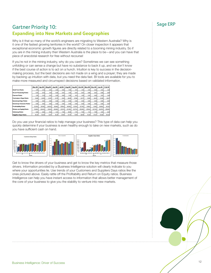## Sage ERP Gartner Priority 10: **Expanding into New Markets and Geographies**

Why is it that so many of the world's engineers are migrating to Western Australia? Why is it one of the fastest growing territories in the world? On closer inspection it appears that exceptional economic growth figures are directly related to a booming mining industry. So if you are in the mining industry then Western Australia is the place to be—and you can have that piece of anecdotal research for free without recourse!

If you're not in the mining industry, why do you care? Sometimes we can see something unfolding or can sense a change but have no substance to back it up, and we don't know if the best course of action is to act on a hunch. Intuition is key to success in the decisionmaking process, but the best decisions are not made on a wing and a prayer; they are made by backing up intuition with data, but you need the data fast. BI tools are available for you to make more measured and circumspect decisions based on validated information.

|                                 | <b>Mar 03</b> | Apr 03 |            | Mag 05 Jun 05 | Jul 03  |                | Aug 03 Sep 03 Oct 03 Nov 03 Dec 03 |        |              |        | Jan 10        | Feb 10 |
|---------------------------------|---------------|--------|------------|---------------|---------|----------------|------------------------------------|--------|--------------|--------|---------------|--------|
| <b>Asid Test Ratio</b>          | 2 Mil         | 2.34   | 2.45       | $2$ est       | 4.00    | 5.54           | 4.01                               | 4.30   | ssol         | 4.06   | 3.83          | 34     |
| <b>Asset Financing Ratio</b>    | 6.79          | 6.76   | 6.BY       | 0.04          | earl    | 6 H            | 0.87                               | 0.87   | 6 BE         | 6.87   | 0.06          | d:     |
| <b>Current Ratio</b>            | 2.160         | 2.54   | 241        | 2.45          | 4.00    | 5.54           | 401                                | 4.30   | 3.90         | 4.06   | 3.80          | 34     |
| <b>Customers Dags Ratio</b>     | te pol        | 22.60  | 23.87      | 21.75         | 21.410  | 24.09          | 25.94                              | 22.77  | <b>15.50</b> | 36.91  | lea.cc        | 34.1   |
| <b>Inventory Days Ratio</b>     | 6.00          | 0.00   | east       | 6.00          | e sol   | 6.00           | 6.00                               | 6.00   | 6.00         | 0.00   | 0.00          | 44     |
| <b>Investory Turnover Ratio</b> | e.col         | a pol  | e.col      | a pol         | epol    | 0.001          | 0.001                              | asol   | e.col        | 0.00   | epol          | 44     |
| <b>Profitability Ratio</b>      | 33.90%        | 28.95% | 24.82%     | <b>MARY</b>   | 15 Send | <b>94, 84%</b> | 12.30%                             | 12 70% | mond         | 8.9%   | <b>10-60%</b> | 10.12  |
| <b>Fletura on Equity Ratio</b>  | 10.00%        | 36,42% | 3642%      | 20,60%        | 25.07%  | 23.30%         | 22.72%                             | 25,90% | 26.50%       | 22.72% | 26.87%        | 25.00  |
| <b>Solvenes Ratio</b>           | 4.66          | 4.60   | 5.26       | 4.13          | 7.45    | \$5.88         | 224                                | 7.49   | 726          | 7.95   | 4.95          | £.     |
| <b>Supplies Dags Ratio</b>      | 45.54         | no asl | <b>DEE</b> | N.26          | les ac  | 72.70          | 71 ml                              | DE.55  | 20.36        | 47.07  | mssil         | 943.0  |

Do you use your financial ratios to help manage your business? This type of data can help you quickly determine if your business is even healthy enough to take on new markets, such as do you have sufficient cash on hand.



Get to know the drivers of your business and get to know the key metrics that measure those drivers. Information provided by a Business Intelligence solution will clearly indicate to you where your opportunities lie. Use trends of your Customers and Suppliers Days ratios like the ones pictured above. Easily rattle off the Profitability and Return on Equity ratios. Business Intelligence can help you have instant access to information that allows better management of the core of your business to give you the stability to venture into new markets.